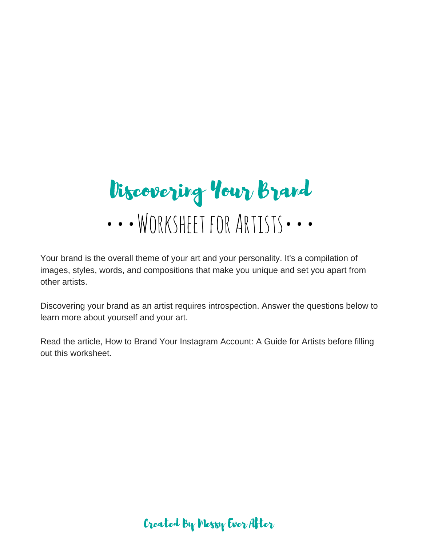••• WORKSHEET FOR ARTISTS ••• Discovering Your Brand

Your brand is the overall theme of your art and your personality. It's a compilation of images, styles, words, and compositions that make you unique and set you apart from other artists.

Discovering your brand as an artist requires introspection. Answer the questions below to learn more about yourself and your art.

Read the article, How to Brand Your Instagram Account: A Guide for Artists before filling out this worksheet.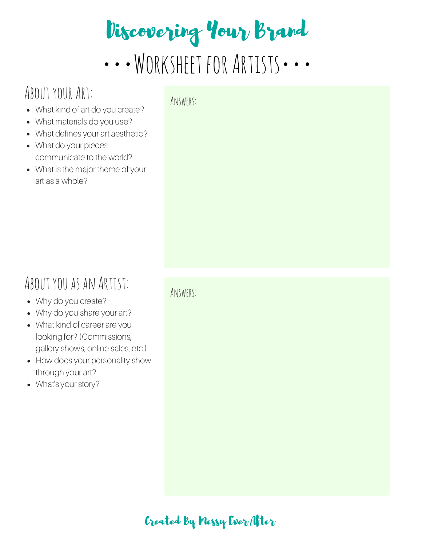# Discovering Your Brand

••• WORKSHEET FOR ARTISTS •••

## ABOUT YOUR ART:

- What kind of art do you create?
- What materials do you use?
- What defines your art aesthetic?
- What do your pieces communicate to the world?
- What is the major theme of your art as a whole?

#### Answers:

## ABOUT YOU AS AN ARTIST:

- Why do you create?
- Why do you share your art?
- What kind of career are you looking for? (Commissions, gallery shows, online sales, etc.)
- How does your personality show through your art?
- What's your story?

Answers: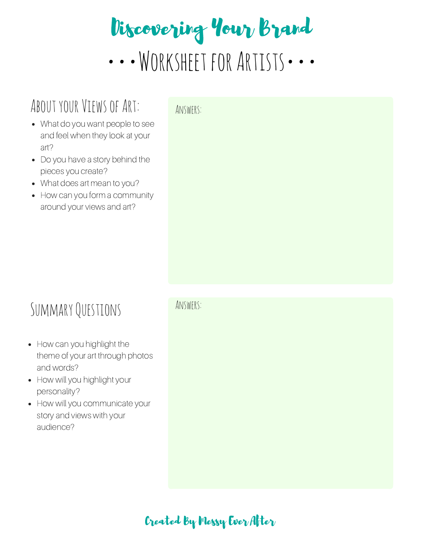## ••• WORKSHEET FOR ARTISTS ••• Discovering Your Brand

## ABOUT YOUR VIEWS OF ART: ANSWERS:

- What do you want people to see and feel when they look at your art?
- Do you have a story behind the pieces you create?
- What does art mean to you?
- How can you form a community around your views and art?

## SummaryQuestions

- How can you highlight the theme of your art through photos and words?
- How will you highlight your personality?
- How will you communicate your story and views with your audience?